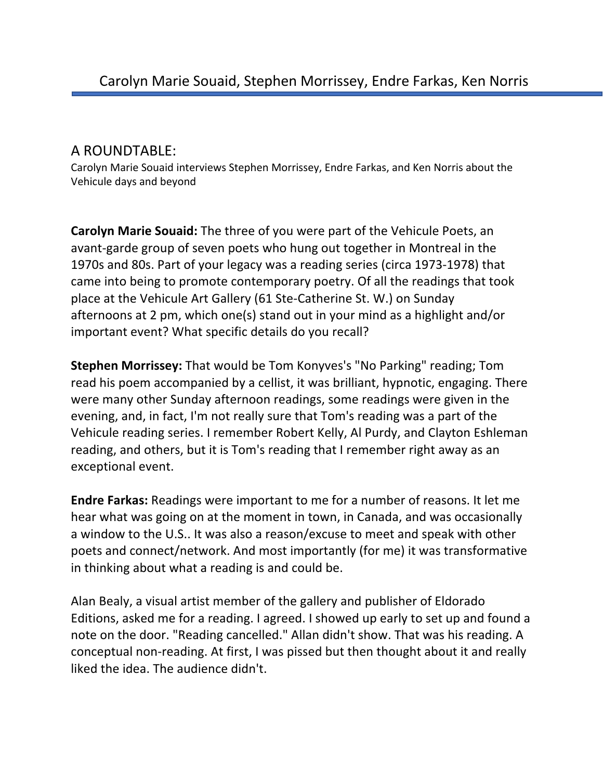## A ROUNDTABLE:

Carolyn Marie Souaid interviews Stephen Morrissey, Endre Farkas, and Ken Norris about the Vehicule days and beyond

**Carolyn Marie Souaid:** The three of you were part of the Vehicule Poets, an avant-garde group of seven poets who hung out together in Montreal in the 1970s and 80s. Part of your legacy was a reading series (circa 1973-1978) that came into being to promote contemporary poetry. Of all the readings that took place at the Vehicule Art Gallery (61 Ste-Catherine St. W.) on Sunday afternoons at 2 pm, which one(s) stand out in your mind as a highlight and/or important event? What specific details do you recall?

**Stephen Morrissey:** That would be Tom Konyves's "No Parking" reading; Tom read his poem accompanied by a cellist, it was brilliant, hypnotic, engaging. There were many other Sunday afternoon readings, some readings were given in the evening, and, in fact, I'm not really sure that Tom's reading was a part of the Vehicule reading series. I remember Robert Kelly, Al Purdy, and Clayton Eshleman reading, and others, but it is Tom's reading that I remember right away as an exceptional event.

**Endre Farkas:** Readings were important to me for a number of reasons. It let me hear what was going on at the moment in town, in Canada, and was occasionally a window to the U.S.. It was also a reason/excuse to meet and speak with other poets and connect/network. And most importantly (for me) it was transformative in thinking about what a reading is and could be.

Alan Bealy, a visual artist member of the gallery and publisher of Eldorado Editions, asked me for a reading. I agreed. I showed up early to set up and found a note on the door. "Reading cancelled." Allan didn't show. That was his reading. A conceptual non-reading. At first, I was pissed but then thought about it and really liked the idea. The audience didn't.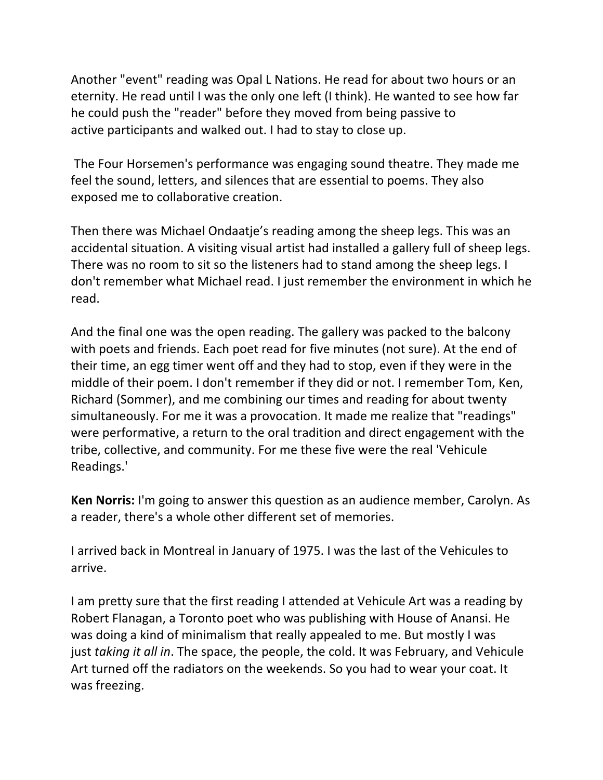Another "event" reading was Opal L Nations. He read for about two hours or an eternity. He read until I was the only one left (I think). He wanted to see how far he could push the "reader" before they moved from being passive to active participants and walked out. I had to stay to close up.

The Four Horsemen's performance was engaging sound theatre. They made me feel the sound, letters, and silences that are essential to poems. They also exposed me to collaborative creation.

Then there was Michael Ondaatje's reading among the sheep legs. This was an accidental situation. A visiting visual artist had installed a gallery full of sheep legs. There was no room to sit so the listeners had to stand among the sheep legs. I don't remember what Michael read. I just remember the environment in which he read.

And the final one was the open reading. The gallery was packed to the balcony with poets and friends. Each poet read for five minutes (not sure). At the end of their time, an egg timer went off and they had to stop, even if they were in the middle of their poem. I don't remember if they did or not. I remember Tom, Ken, Richard (Sommer), and me combining our times and reading for about twenty simultaneously. For me it was a provocation. It made me realize that "readings" were performative, a return to the oral tradition and direct engagement with the tribe, collective, and community. For me these five were the real 'Vehicule Readings.'

**Ken Norris:** I'm going to answer this question as an audience member, Carolyn. As a reader, there's a whole other different set of memories.

I arrived back in Montreal in January of 1975. I was the last of the Vehicules to arrive.

I am pretty sure that the first reading I attended at Vehicule Art was a reading by Robert Flanagan, a Toronto poet who was publishing with House of Anansi. He was doing a kind of minimalism that really appealed to me. But mostly I was just *taking it all in*. The space, the people, the cold. It was February, and Vehicule Art turned off the radiators on the weekends. So you had to wear your coat. It was freezing.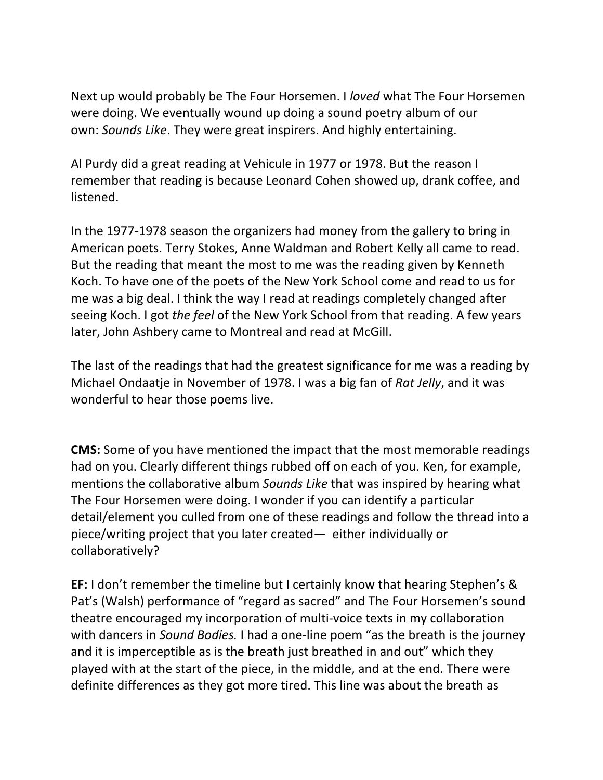Next up would probably be The Four Horsemen. I *loved* what The Four Horsemen were doing. We eventually wound up doing a sound poetry album of our own: *Sounds Like*. They were great inspirers. And highly entertaining.

Al Purdy did a great reading at Vehicule in 1977 or 1978. But the reason I remember that reading is because Leonard Cohen showed up, drank coffee, and listened.

In the 1977-1978 season the organizers had money from the gallery to bring in American poets. Terry Stokes, Anne Waldman and Robert Kelly all came to read. But the reading that meant the most to me was the reading given by Kenneth Koch. To have one of the poets of the New York School come and read to us for me was a big deal. I think the way I read at readings completely changed after seeing Koch. I got *the feel* of the New York School from that reading. A few years later, John Ashbery came to Montreal and read at McGill.

The last of the readings that had the greatest significance for me was a reading by Michael Ondaatje in November of 1978. I was a big fan of *Rat Jelly*, and it was wonderful to hear those poems live.

**CMS:** Some of you have mentioned the impact that the most memorable readings had on you. Clearly different things rubbed off on each of you. Ken, for example, mentions the collaborative album *Sounds Like* that was inspired by hearing what The Four Horsemen were doing. I wonder if you can identify a particular detail/element you culled from one of these readings and follow the thread into a piece/writing project that you later created— either individually or collaboratively?

**EF:** I don't remember the timeline but I certainly know that hearing Stephen's & Pat's (Walsh) performance of "regard as sacred" and The Four Horsemen's sound theatre encouraged my incorporation of multi-voice texts in my collaboration with dancers in *Sound Bodies.* I had a one-line poem "as the breath is the journey and it is imperceptible as is the breath just breathed in and out" which they played with at the start of the piece, in the middle, and at the end. There were definite differences as they got more tired. This line was about the breath as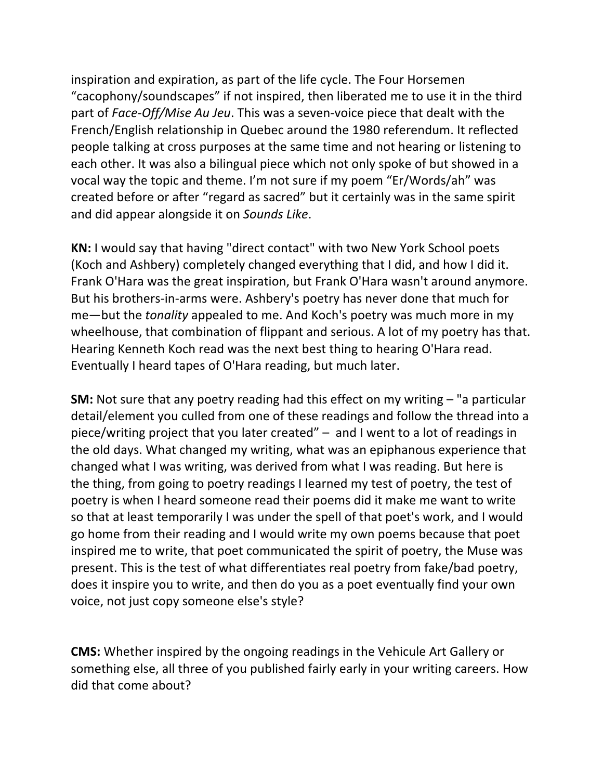inspiration and expiration, as part of the life cycle. The Four Horsemen "cacophony/soundscapes" if not inspired, then liberated me to use it in the third part of *Face-Off/Mise Au Jeu*. This was a seven-voice piece that dealt with the French/English relationship in Quebec around the 1980 referendum. It reflected people talking at cross purposes at the same time and not hearing or listening to each other. It was also a bilingual piece which not only spoke of but showed in a vocal way the topic and theme. I'm not sure if my poem "Er/Words/ah" was created before or after "regard as sacred" but it certainly was in the same spirit and did appear alongside it on *Sounds Like*.

**KN:** I would say that having "direct contact" with two New York School poets (Koch and Ashbery) completely changed everything that I did, and how I did it. Frank O'Hara was the great inspiration, but Frank O'Hara wasn't around anymore. But his brothers-in-arms were. Ashbery's poetry has never done that much for me—but the *tonality* appealed to me. And Koch's poetry was much more in my wheelhouse, that combination of flippant and serious. A lot of my poetry has that. Hearing Kenneth Koch read was the next best thing to hearing O'Hara read. Eventually I heard tapes of O'Hara reading, but much later.

**SM:** Not sure that any poetry reading had this effect on my writing – "a particular detail/element you culled from one of these readings and follow the thread into a piece/writing project that you later created" – and I went to a lot of readings in the old days. What changed my writing, what was an epiphanous experience that changed what I was writing, was derived from what I was reading. But here is the thing, from going to poetry readings I learned my test of poetry, the test of poetry is when I heard someone read their poems did it make me want to write so that at least temporarily I was under the spell of that poet's work, and I would go home from their reading and I would write my own poems because that poet inspired me to write, that poet communicated the spirit of poetry, the Muse was present. This is the test of what differentiates real poetry from fake/bad poetry, does it inspire you to write, and then do you as a poet eventually find your own voice, not just copy someone else's style?

**CMS:** Whether inspired by the ongoing readings in the Vehicule Art Gallery or something else, all three of you published fairly early in your writing careers. How did that come about?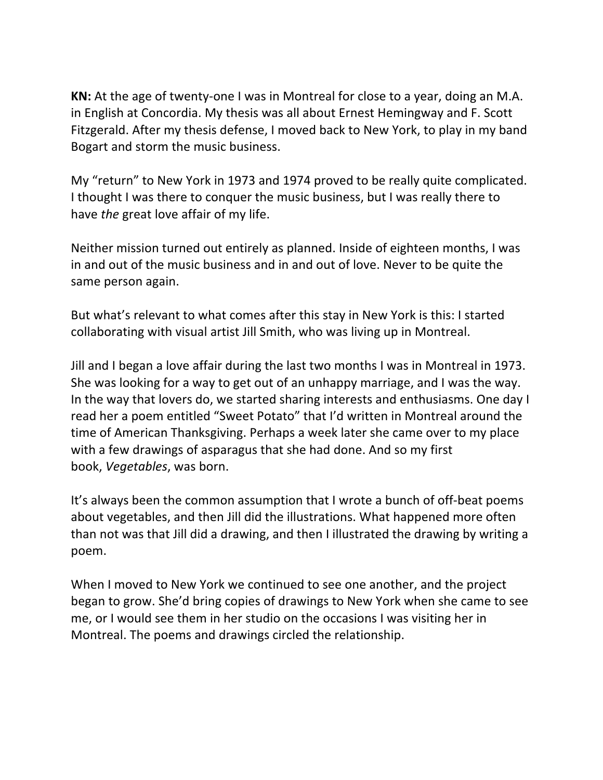**KN:** At the age of twenty-one I was in Montreal for close to a year, doing an M.A. in English at Concordia. My thesis was all about Ernest Hemingway and F. Scott Fitzgerald. After my thesis defense, I moved back to New York, to play in my band Bogart and storm the music business.

My "return" to New York in 1973 and 1974 proved to be really quite complicated. I thought I was there to conquer the music business, but I was really there to have *the* great love affair of my life.

Neither mission turned out entirely as planned. Inside of eighteen months, I was in and out of the music business and in and out of love. Never to be quite the same person again.

But what's relevant to what comes after this stay in New York is this: I started collaborating with visual artist Jill Smith, who was living up in Montreal.

Jill and I began a love affair during the last two months I was in Montreal in 1973. She was looking for a way to get out of an unhappy marriage, and I was the way. In the way that lovers do, we started sharing interests and enthusiasms. One day I read her a poem entitled "Sweet Potato" that I'd written in Montreal around the time of American Thanksgiving. Perhaps a week later she came over to my place with a few drawings of asparagus that she had done. And so my first book, *Vegetables*, was born.

It's always been the common assumption that I wrote a bunch of off-beat poems about vegetables, and then Jill did the illustrations. What happened more often than not was that Jill did a drawing, and then I illustrated the drawing by writing a poem.

When I moved to New York we continued to see one another, and the project began to grow. She'd bring copies of drawings to New York when she came to see me, or I would see them in her studio on the occasions I was visiting her in Montreal. The poems and drawings circled the relationship.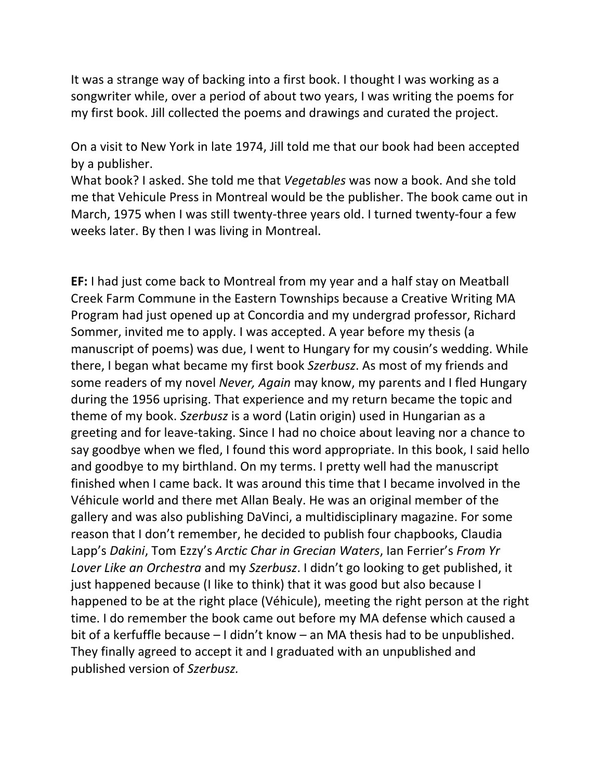It was a strange way of backing into a first book. I thought I was working as a songwriter while, over a period of about two years, I was writing the poems for my first book. Jill collected the poems and drawings and curated the project.

On a visit to New York in late 1974, Jill told me that our book had been accepted by a publisher.

What book? I asked. She told me that *Vegetables* was now a book. And she told me that Vehicule Press in Montreal would be the publisher. The book came out in March, 1975 when I was still twenty-three years old. I turned twenty-four a few weeks later. By then I was living in Montreal.

**EF:** I had just come back to Montreal from my year and a half stay on Meatball Creek Farm Commune in the Eastern Townships because a Creative Writing MA Program had just opened up at Concordia and my undergrad professor, Richard Sommer, invited me to apply. I was accepted. A year before my thesis (a manuscript of poems) was due, I went to Hungary for my cousin's wedding. While there, I began what became my first book *Szerbusz*. As most of my friends and some readers of my novel *Never, Again* may know, my parents and I fled Hungary during the 1956 uprising. That experience and my return became the topic and theme of my book. *Szerbusz* is a word (Latin origin) used in Hungarian as a greeting and for leave-taking. Since I had no choice about leaving nor a chance to say goodbye when we fled, I found this word appropriate. In this book, I said hello and goodbye to my birthland. On my terms. I pretty well had the manuscript finished when I came back. It was around this time that I became involved in the Véhicule world and there met Allan Bealy. He was an original member of the gallery and was also publishing DaVinci, a multidisciplinary magazine. For some reason that I don't remember, he decided to publish four chapbooks, Claudia Lapp's *Dakini*, Tom Ezzy's *Arctic Char in Grecian Waters*, Ian Ferrier's *From Yr Lover Like an Orchestra* and my *Szerbusz*. I didn't go looking to get published, it just happened because (I like to think) that it was good but also because I happened to be at the right place (Véhicule), meeting the right person at the right time. I do remember the book came out before my MA defense which caused a bit of a kerfuffle because – I didn't know – an MA thesis had to be unpublished. They finally agreed to accept it and I graduated with an unpublished and published version of *Szerbusz.*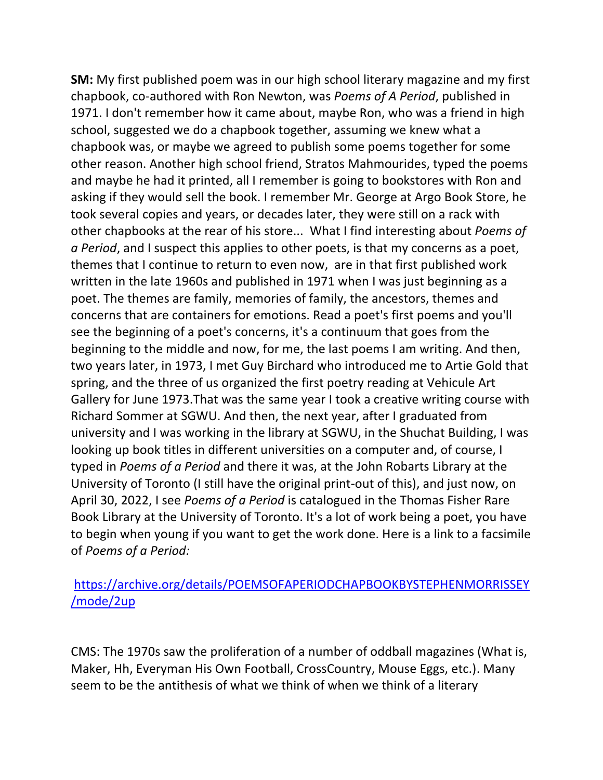**SM:** My first published poem was in our high school literary magazine and my first chapbook, co-authored with Ron Newton, was *Poems of A Period*, published in 1971. I don't remember how it came about, maybe Ron, who was a friend in high school, suggested we do a chapbook together, assuming we knew what a chapbook was, or maybe we agreed to publish some poems together for some other reason. Another high school friend, Stratos Mahmourides, typed the poems and maybe he had it printed, all I remember is going to bookstores with Ron and asking if they would sell the book. I remember Mr. George at Argo Book Store, he took several copies and years, or decades later, they were still on a rack with other chapbooks at the rear of his store... What I find interesting about *Poems of a Period*, and I suspect this applies to other poets, is that my concerns as a poet, themes that I continue to return to even now, are in that first published work written in the late 1960s and published in 1971 when I was just beginning as a poet. The themes are family, memories of family, the ancestors, themes and concerns that are containers for emotions. Read a poet's first poems and you'll see the beginning of a poet's concerns, it's a continuum that goes from the beginning to the middle and now, for me, the last poems I am writing. And then, two years later, in 1973, I met Guy Birchard who introduced me to Artie Gold that spring, and the three of us organized the first poetry reading at Vehicule Art Gallery for June 1973.That was the same year I took a creative writing course with Richard Sommer at SGWU. And then, the next year, after I graduated from university and I was working in the library at SGWU, in the Shuchat Building, I was looking up book titles in different universities on a computer and, of course, I typed in *Poems of a Period* and there it was, at the John Robarts Library at the University of Toronto (I still have the original print-out of this), and just now, on April 30, 2022, I see *Poems of a Period* is catalogued in the Thomas Fisher Rare Book Library at the University of Toronto. It's a lot of work being a poet, you have to begin when young if you want to get the work done. Here is a link to a facsimile of *Poems of a Period:* 

## https://archive.org/details/POEMSOFAPERIODCHAPBOOKBYSTEPHENMORRISSEY /mode/2up

CMS: The 1970s saw the proliferation of a number of oddball magazines (What is, Maker, Hh, Everyman His Own Football, CrossCountry, Mouse Eggs, etc.). Many seem to be the antithesis of what we think of when we think of a literary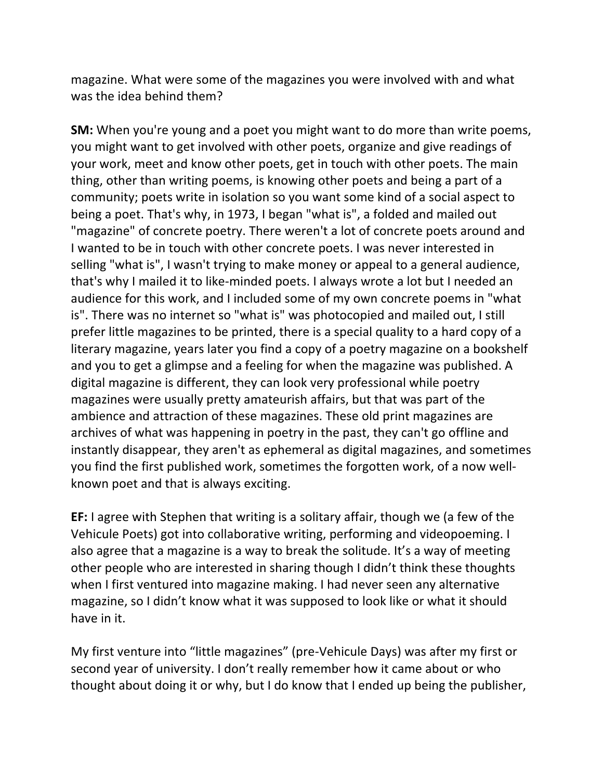magazine. What were some of the magazines you were involved with and what was the idea behind them?

**SM:** When you're young and a poet you might want to do more than write poems, you might want to get involved with other poets, organize and give readings of your work, meet and know other poets, get in touch with other poets. The main thing, other than writing poems, is knowing other poets and being a part of a community; poets write in isolation so you want some kind of a social aspect to being a poet. That's why, in 1973, I began "what is", a folded and mailed out "magazine" of concrete poetry. There weren't a lot of concrete poets around and I wanted to be in touch with other concrete poets. I was never interested in selling "what is", I wasn't trying to make money or appeal to a general audience, that's why I mailed it to like-minded poets. I always wrote a lot but I needed an audience for this work, and I included some of my own concrete poems in "what is". There was no internet so "what is" was photocopied and mailed out, I still prefer little magazines to be printed, there is a special quality to a hard copy of a literary magazine, years later you find a copy of a poetry magazine on a bookshelf and you to get a glimpse and a feeling for when the magazine was published. A digital magazine is different, they can look very professional while poetry magazines were usually pretty amateurish affairs, but that was part of the ambience and attraction of these magazines. These old print magazines are archives of what was happening in poetry in the past, they can't go offline and instantly disappear, they aren't as ephemeral as digital magazines, and sometimes you find the first published work, sometimes the forgotten work, of a now wellknown poet and that is always exciting.

**EF:** I agree with Stephen that writing is a solitary affair, though we (a few of the Vehicule Poets) got into collaborative writing, performing and videopoeming. I also agree that a magazine is a way to break the solitude. It's a way of meeting other people who are interested in sharing though I didn't think these thoughts when I first ventured into magazine making. I had never seen any alternative magazine, so I didn't know what it was supposed to look like or what it should have in it.

My first venture into "little magazines" (pre-Vehicule Days) was after my first or second year of university. I don't really remember how it came about or who thought about doing it or why, but I do know that I ended up being the publisher,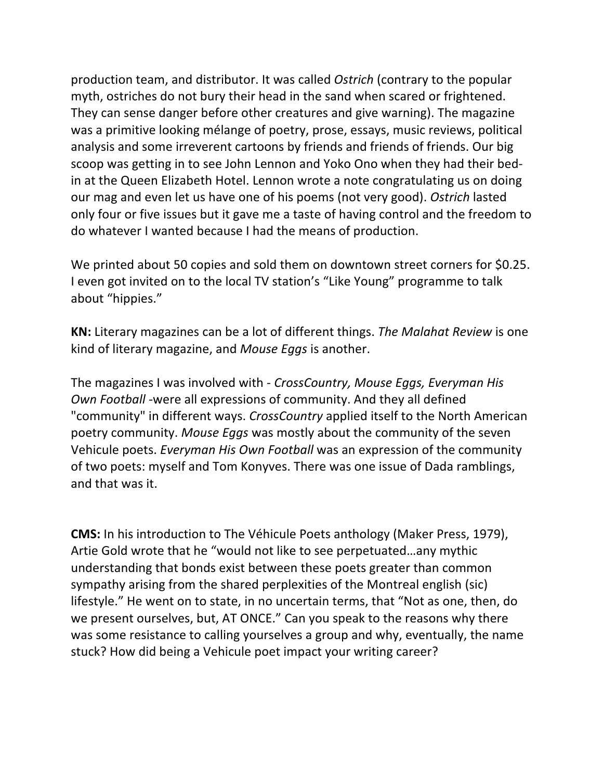production team, and distributor. It was called *Ostrich* (contrary to the popular myth, ostriches do not bury their head in the sand when scared or frightened. They can sense danger before other creatures and give warning). The magazine was a primitive looking mélange of poetry, prose, essays, music reviews, political analysis and some irreverent cartoons by friends and friends of friends. Our big scoop was getting in to see John Lennon and Yoko Ono when they had their bedin at the Queen Elizabeth Hotel. Lennon wrote a note congratulating us on doing our mag and even let us have one of his poems (not very good). *Ostrich* lasted only four or five issues but it gave me a taste of having control and the freedom to do whatever I wanted because I had the means of production.

We printed about 50 copies and sold them on downtown street corners for \$0.25. I even got invited on to the local TV station's "Like Young" programme to talk about "hippies."

**KN:** Literary magazines can be a lot of different things. *The Malahat Review* is one kind of literary magazine, and *Mouse Eggs* is another.

The magazines I was involved with - *CrossCountry, Mouse Eggs, Everyman His Own Football* -were all expressions of community. And they all defined "community" in different ways. *CrossCountry* applied itself to the North American poetry community. *Mouse Eggs* was mostly about the community of the seven Vehicule poets. *Everyman His Own Football* was an expression of the community of two poets: myself and Tom Konyves. There was one issue of Dada ramblings, and that was it.

**CMS:** In his introduction to The Véhicule Poets anthology (Maker Press, 1979), Artie Gold wrote that he "would not like to see perpetuated…any mythic understanding that bonds exist between these poets greater than common sympathy arising from the shared perplexities of the Montreal english (sic) lifestyle." He went on to state, in no uncertain terms, that "Not as one, then, do we present ourselves, but, AT ONCE." Can you speak to the reasons why there was some resistance to calling yourselves a group and why, eventually, the name stuck? How did being a Vehicule poet impact your writing career?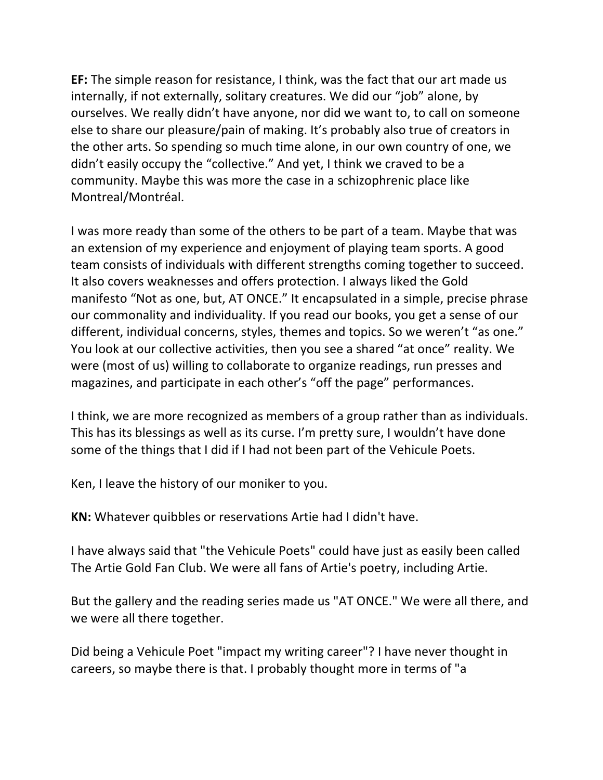**EF:** The simple reason for resistance, I think, was the fact that our art made us internally, if not externally, solitary creatures. We did our "job" alone, by ourselves. We really didn't have anyone, nor did we want to, to call on someone else to share our pleasure/pain of making. It's probably also true of creators in the other arts. So spending so much time alone, in our own country of one, we didn't easily occupy the "collective." And yet, I think we craved to be a community. Maybe this was more the case in a schizophrenic place like Montreal/Montréal.

I was more ready than some of the others to be part of a team. Maybe that was an extension of my experience and enjoyment of playing team sports. A good team consists of individuals with different strengths coming together to succeed. It also covers weaknesses and offers protection. I always liked the Gold manifesto "Not as one, but, AT ONCE." It encapsulated in a simple, precise phrase our commonality and individuality. If you read our books, you get a sense of our different, individual concerns, styles, themes and topics. So we weren't "as one." You look at our collective activities, then you see a shared "at once" reality. We were (most of us) willing to collaborate to organize readings, run presses and magazines, and participate in each other's "off the page" performances.

I think, we are more recognized as members of a group rather than as individuals. This has its blessings as well as its curse. I'm pretty sure, I wouldn't have done some of the things that I did if I had not been part of the Vehicule Poets.

Ken, I leave the history of our moniker to you.

**KN:** Whatever quibbles or reservations Artie had I didn't have.

I have always said that "the Vehicule Poets" could have just as easily been called The Artie Gold Fan Club. We were all fans of Artie's poetry, including Artie.

But the gallery and the reading series made us "AT ONCE." We were all there, and we were all there together.

Did being a Vehicule Poet "impact my writing career"? I have never thought in careers, so maybe there is that. I probably thought more in terms of "a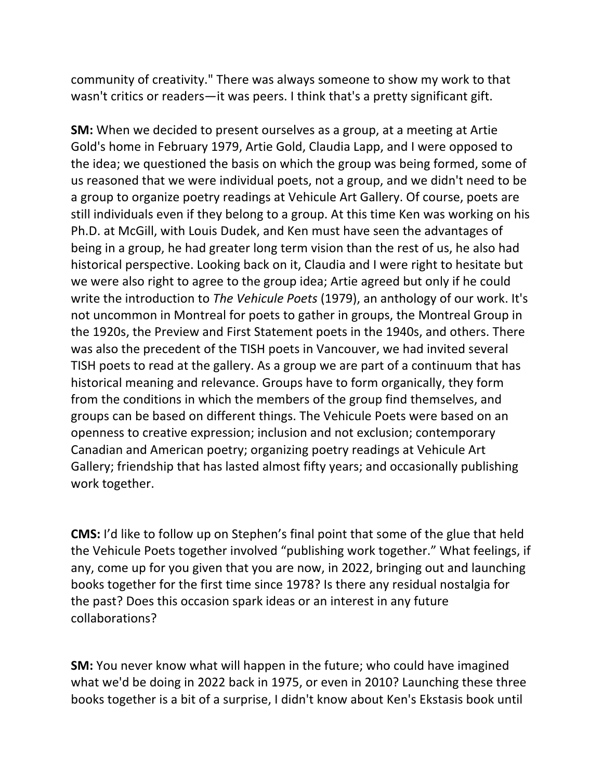community of creativity." There was always someone to show my work to that wasn't critics or readers—it was peers. I think that's a pretty significant gift.

**SM:** When we decided to present ourselves as a group, at a meeting at Artie Gold's home in February 1979, Artie Gold, Claudia Lapp, and I were opposed to the idea; we questioned the basis on which the group was being formed, some of us reasoned that we were individual poets, not a group, and we didn't need to be a group to organize poetry readings at Vehicule Art Gallery. Of course, poets are still individuals even if they belong to a group. At this time Ken was working on his Ph.D. at McGill, with Louis Dudek, and Ken must have seen the advantages of being in a group, he had greater long term vision than the rest of us, he also had historical perspective. Looking back on it, Claudia and I were right to hesitate but we were also right to agree to the group idea; Artie agreed but only if he could write the introduction to *The Vehicule Poets* (1979), an anthology of our work. It's not uncommon in Montreal for poets to gather in groups, the Montreal Group in the 1920s, the Preview and First Statement poets in the 1940s, and others. There was also the precedent of the TISH poets in Vancouver, we had invited several TISH poets to read at the gallery. As a group we are part of a continuum that has historical meaning and relevance. Groups have to form organically, they form from the conditions in which the members of the group find themselves, and groups can be based on different things. The Vehicule Poets were based on an openness to creative expression; inclusion and not exclusion; contemporary Canadian and American poetry; organizing poetry readings at Vehicule Art Gallery; friendship that has lasted almost fifty years; and occasionally publishing work together.

**CMS:** I'd like to follow up on Stephen's final point that some of the glue that held the Vehicule Poets together involved "publishing work together." What feelings, if any, come up for you given that you are now, in 2022, bringing out and launching books together for the first time since 1978? Is there any residual nostalgia for the past? Does this occasion spark ideas or an interest in any future collaborations?

**SM:** You never know what will happen in the future; who could have imagined what we'd be doing in 2022 back in 1975, or even in 2010? Launching these three books together is a bit of a surprise, I didn't know about Ken's Ekstasis book until